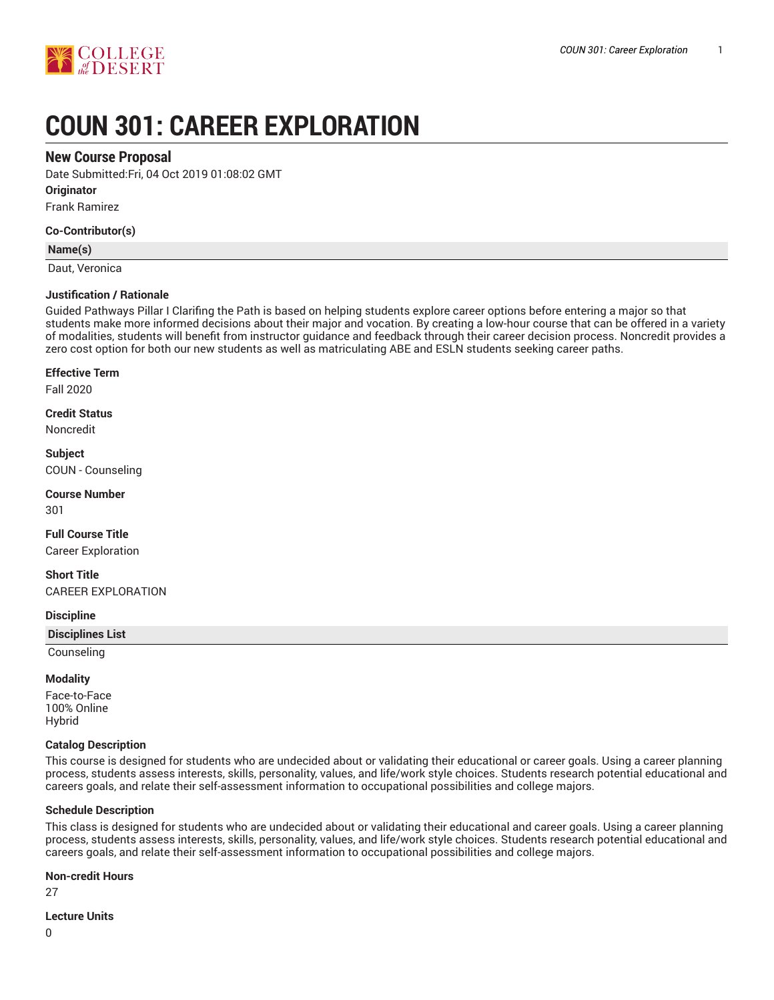

# **COUN 301: CAREER EXPLORATION**

## **New Course Proposal**

Date Submitted:Fri, 04 Oct 2019 01:08:02 GMT

**Originator**

Frank Ramirez

**Co-Contributor(s)**

## **Name(s)**

Daut, Veronica

## **Justification / Rationale**

Guided Pathways Pillar I Clarifing the Path is based on helping students explore career options before entering a major so that students make more informed decisions about their major and vocation. By creating a low-hour course that can be offered in a variety of modalities, students will benefit from instructor guidance and feedback through their career decision process. Noncredit provides a zero cost option for both our new students as well as matriculating ABE and ESLN students seeking career paths.

## **Effective Term**

Fall 2020

**Credit Status** Noncredit

**Subject** COUN - Counseling

**Course Number** 301

**Full Course Title** Career Exploration

**Short Title** CAREER EXPLORATION

## **Discipline**

**Disciplines List**

Counseling

## **Modality**

Face-to-Face 100% Online Hybrid

#### **Catalog Description**

This course is designed for students who are undecided about or validating their educational or career goals. Using a career planning process, students assess interests, skills, personality, values, and life/work style choices. Students research potential educational and careers goals, and relate their self-assessment information to occupational possibilities and college majors.

## **Schedule Description**

This class is designed for students who are undecided about or validating their educational and career goals. Using a career planning process, students assess interests, skills, personality, values, and life/work style choices. Students research potential educational and careers goals, and relate their self-assessment information to occupational possibilities and college majors.

#### **Non-credit Hours**

27

#### **Lecture Units**

0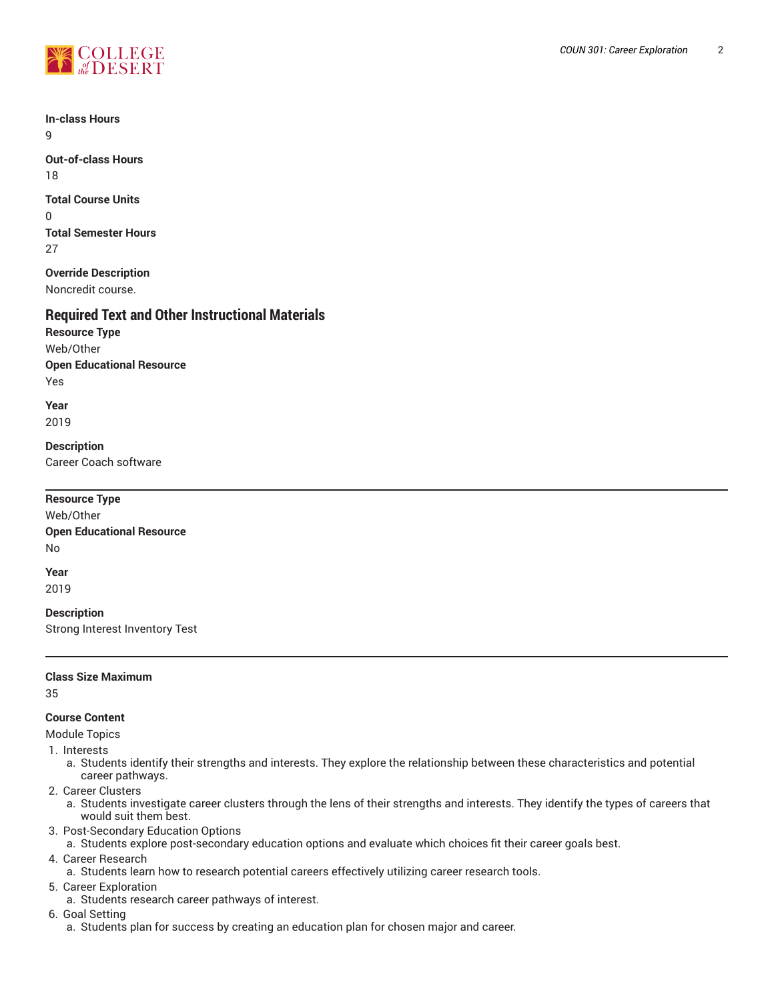

**In-class Hours** 9

**Out-of-class Hours** 18

**Total Course Units** 0 **Total Semester Hours** 27

**Override Description** Noncredit course.

# **Required Text and Other Instructional Materials**

**Resource Type** Web/Other **Open Educational Resource** Yes

**Year** 2019

**Description** Career Coach software

| <b>Resource Type</b>                                 |  |  |
|------------------------------------------------------|--|--|
| Web/Other                                            |  |  |
| <b>Open Educational Resource</b>                     |  |  |
| No                                                   |  |  |
| Year<br>2019                                         |  |  |
| <b>Description</b><br>Strong Interest Inventory Test |  |  |

## **Class Size Maximum**

35

## **Course Content**

Module Topics

- 1. Interests
	- a. Students identify their strengths and interests. They explore the relationship between these characteristics and potential career pathways.
- 2. Career Clusters
	- a. Students investigate career clusters through the lens of their strengths and interests. They identify the types of careers that would suit them best.
- 3. Post-Secondary Education Options
- a. Students explore post-secondary education options and evaluate which choices fit their career goals best.
- 4. Career Research
- a. Students learn how to research potential careers effectively utilizing career research tools.
- 5. Career Exploration
	- a. Students research career pathways of interest.
- 6. Goal Setting
	- a. Students plan for success by creating an education plan for chosen major and career.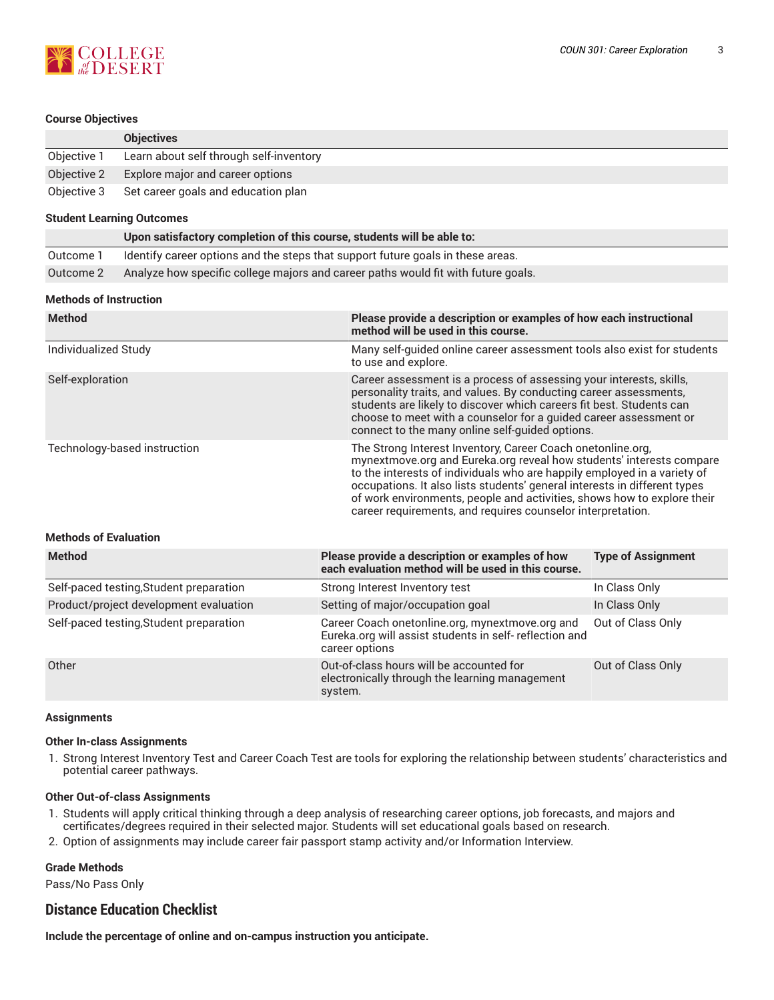

## **Course Objectives**

|             | <b>Objectives</b>                               |
|-------------|-------------------------------------------------|
| Objective 1 | Learn about self through self-inventory         |
| Objective 2 | Explore major and career options                |
|             | Objective 3 Set career goals and education plan |

#### **Student Learning Outcomes**

|           | Upon satisfactory completion of this course, students will be able to:            |
|-----------|-----------------------------------------------------------------------------------|
| Outcome 1 | Identify career options and the steps that support future goals in these areas.   |
| Outcome 2 | Analyze how specific college majors and career paths would fit with future goals. |

## **Methods of Instruction**

| <b>Method</b>                | Please provide a description or examples of how each instructional<br>method will be used in this course.                                                                                                                                                                                                                                                                                                                              |
|------------------------------|----------------------------------------------------------------------------------------------------------------------------------------------------------------------------------------------------------------------------------------------------------------------------------------------------------------------------------------------------------------------------------------------------------------------------------------|
| Individualized Study         | Many self-quided online career assessment tools also exist for students<br>to use and explore.                                                                                                                                                                                                                                                                                                                                         |
| Self-exploration             | Career assessment is a process of assessing your interests, skills,<br>personality traits, and values. By conducting career assessments,<br>students are likely to discover which careers fit best. Students can<br>choose to meet with a counselor for a guided career assessment or<br>connect to the many online self-quided options.                                                                                               |
| Technology-based instruction | The Strong Interest Inventory, Career Coach onetonline.org,<br>mynextmove.org and Eureka.org reveal how students' interests compare<br>to the interests of individuals who are happily employed in a variety of<br>occupations. It also lists students' general interests in different types<br>of work environments, people and activities, shows how to explore their<br>career requirements, and requires counselor interpretation. |

## **Methods of Evaluation**

| <b>Method</b>                           | Please provide a description or examples of how<br>each evaluation method will be used in this course.                       | <b>Type of Assignment</b> |
|-----------------------------------------|------------------------------------------------------------------------------------------------------------------------------|---------------------------|
| Self-paced testing, Student preparation | Strong Interest Inventory test                                                                                               | In Class Only             |
| Product/project development evaluation  | Setting of major/occupation goal                                                                                             | In Class Only             |
| Self-paced testing, Student preparation | Career Coach onetonline.org, mynextmove.org and<br>Eureka.org will assist students in self- reflection and<br>career options | Out of Class Only         |
| Other                                   | Out-of-class hours will be accounted for<br>electronically through the learning management<br>system.                        | Out of Class Only         |

#### **Assignments**

## **Other In-class Assignments**

1. Strong Interest Inventory Test and Career Coach Test are tools for exploring the relationship between students' characteristics and potential career pathways.

## **Other Out-of-class Assignments**

- 1. Students will apply critical thinking through a deep analysis of researching career options, job forecasts, and majors and certificates/degrees required in their selected major. Students will set educational goals based on research.
- 2. Option of assignments may include career fair passport stamp activity and/or Information Interview.

## **Grade Methods**

Pass/No Pass Only

# **Distance Education Checklist**

**Include the percentage of online and on-campus instruction you anticipate.**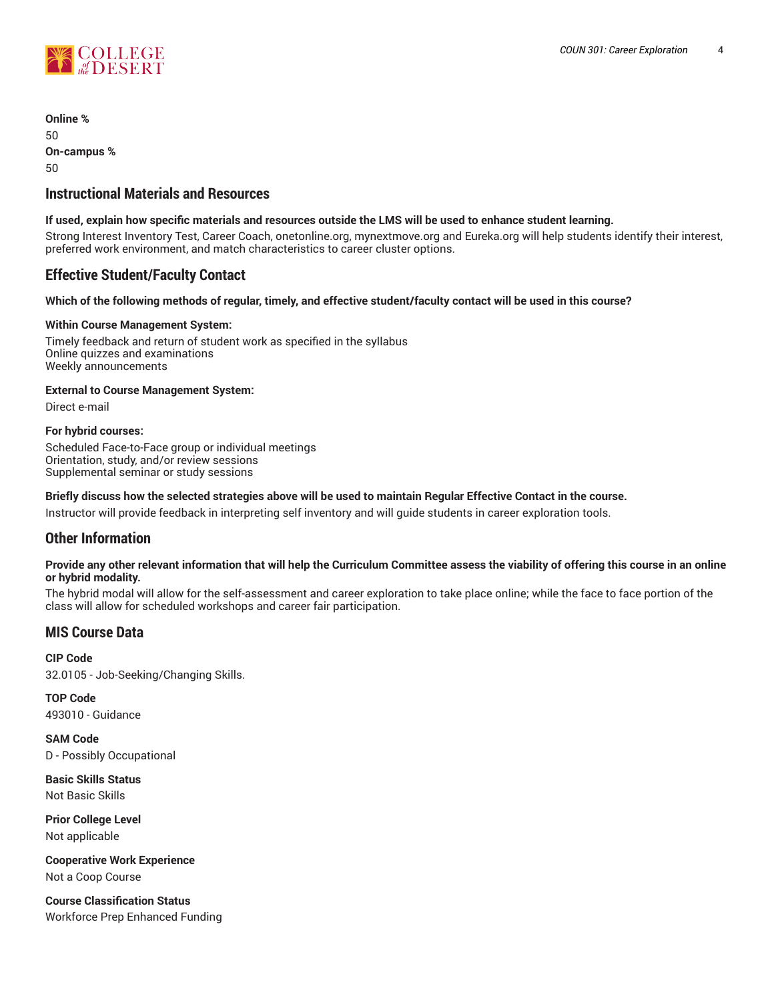

**Online %** 50 **On-campus %** 50

# **Instructional Materials and Resources**

## **If used, explain how specific materials and resources outside the LMS will be used to enhance student learning.**

Strong Interest Inventory Test, Career Coach, onetonline.org, mynextmove.org and Eureka.org will help students identify their interest, preferred work environment, and match characteristics to career cluster options.

# **Effective Student/Faculty Contact**

## Which of the following methods of regular, timely, and effective student/faculty contact will be used in this course?

## **Within Course Management System:**

Timely feedback and return of student work as specified in the syllabus Online quizzes and examinations Weekly announcements

## **External to Course Management System:**

Direct e-mail

## **For hybrid courses:**

Scheduled Face-to-Face group or individual meetings Orientation, study, and/or review sessions Supplemental seminar or study sessions

## Briefly discuss how the selected strategies above will be used to maintain Regular Effective Contact in the course.

Instructor will provide feedback in interpreting self inventory and will guide students in career exploration tools.

## **Other Information**

## Provide any other relevant information that will help the Curriculum Committee assess the viability of offering this course in an online **or hybrid modality.**

The hybrid modal will allow for the self-assessment and career exploration to take place online; while the face to face portion of the class will allow for scheduled workshops and career fair participation.

# **MIS Course Data**

**CIP Code** 32.0105 - Job-Seeking/Changing Skills.

**TOP Code** 493010 - Guidance

**SAM Code** D - Possibly Occupational

**Basic Skills Status** Not Basic Skills

**Prior College Level** Not applicable

**Cooperative Work Experience** Not a Coop Course

**Course Classification Status** Workforce Prep Enhanced Funding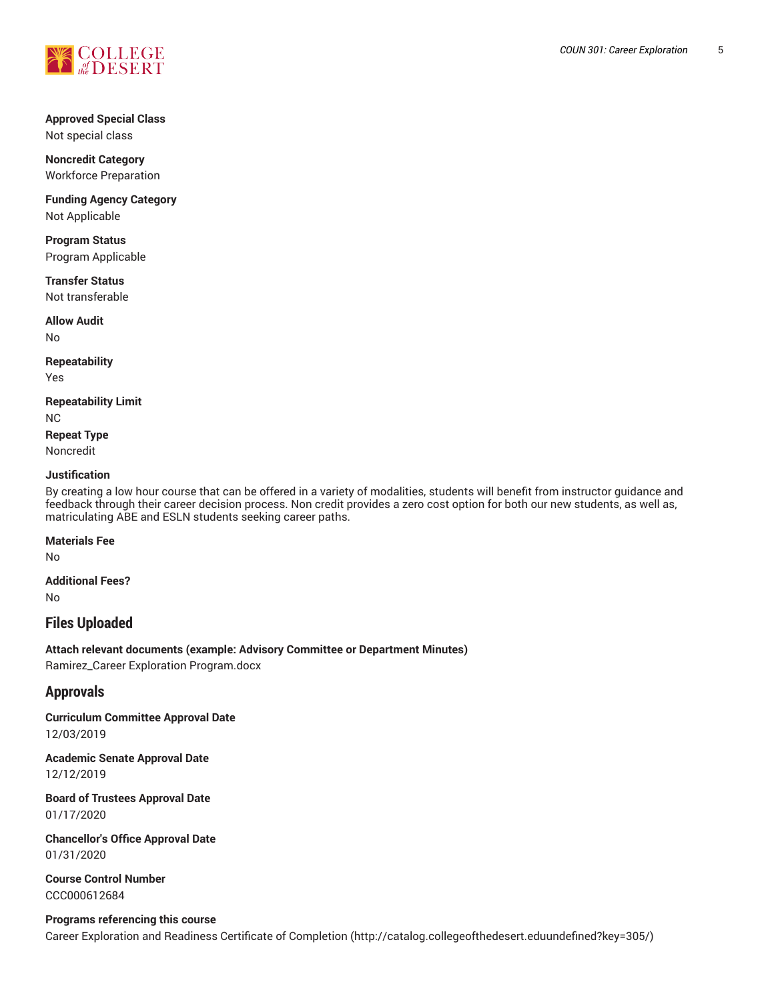

## **Approved Special Class** Not special class

**Noncredit Category** Workforce Preparation

**Funding Agency Category** Not Applicable

**Program Status** Program Applicable

**Transfer Status** Not transferable

**Allow Audit** No

**Repeatability**

Yes

**Repeatability Limit** NC **Repeat Type**

Noncredit

## **Justification**

By creating a low hour course that can be offered in a variety of modalities, students will benefit from instructor guidance and feedback through their career decision process. Non credit provides a zero cost option for both our new students, as well as, matriculating ABE and ESLN students seeking career paths.

## **Materials Fee**

No

**Additional Fees?**

No

# **Files Uploaded**

**Attach relevant documents (example: Advisory Committee or Department Minutes)** Ramirez\_Career Exploration Program.docx

# **Approvals**

**Curriculum Committee Approval Date** 12/03/2019

**Academic Senate Approval Date** 12/12/2019

**Board of Trustees Approval Date** 01/17/2020

**Chancellor's Office Approval Date** 01/31/2020

**Course Control Number** CCC000612684

**Programs referencing this course** Career Exploration and Readiness Certificate of Completion (http://catalog.collegeofthedesert.eduundefined?key=305/)